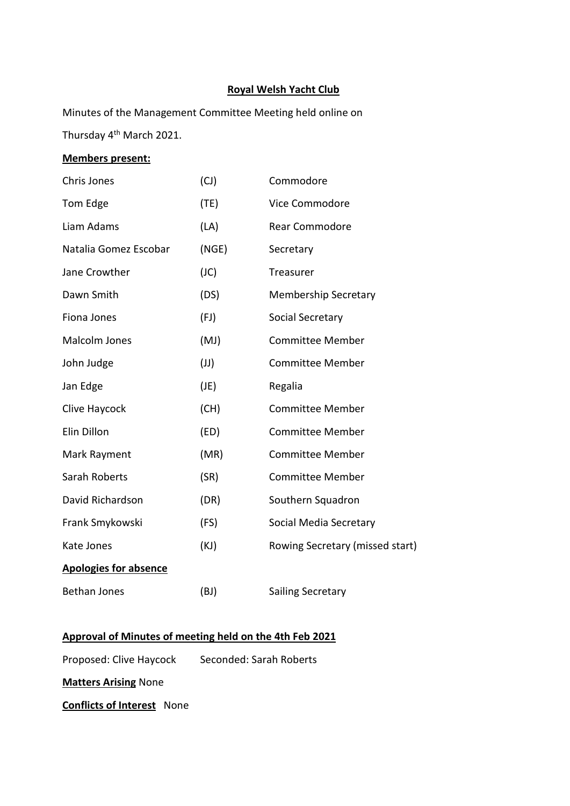# **Royal Welsh Yacht Club**

Minutes of the Management Committee Meeting held online on Thursday 4th March 2021.

# **Members present:**

| Chris Jones                  | (CJ)  | Commodore                       |
|------------------------------|-------|---------------------------------|
| Tom Edge                     | (TE)  | Vice Commodore                  |
| Liam Adams                   | (LA)  | <b>Rear Commodore</b>           |
| Natalia Gomez Escobar        | (NGE) | Secretary                       |
| Jane Crowther                | (JC)  | Treasurer                       |
| Dawn Smith                   | (DS)  | <b>Membership Secretary</b>     |
| Fiona Jones                  | (FJ)  | Social Secretary                |
| Malcolm Jones                | (MJ)  | <b>Committee Member</b>         |
| John Judge                   | (U)   | <b>Committee Member</b>         |
| Jan Edge                     | (JE)  | Regalia                         |
| Clive Haycock                | (CH)  | <b>Committee Member</b>         |
| Elin Dillon                  | (ED)  | <b>Committee Member</b>         |
| Mark Rayment                 | (MR)  | <b>Committee Member</b>         |
| Sarah Roberts                | (SR)  | <b>Committee Member</b>         |
| David Richardson             | (DR)  | Southern Squadron               |
| Frank Smykowski              | (FS)  | Social Media Secretary          |
| Kate Jones                   | (KJ)  | Rowing Secretary (missed start) |
| <b>Apologies for absence</b> |       |                                 |
| <b>Bethan Jones</b>          | (BJ)  | Sailing Secretary               |

# **Approval of Minutes of meeting held on the 4th Feb 2021**

Proposed: Clive Haycock Seconded: Sarah Roberts

**Matters Arising** None

**Conflicts of Interest** None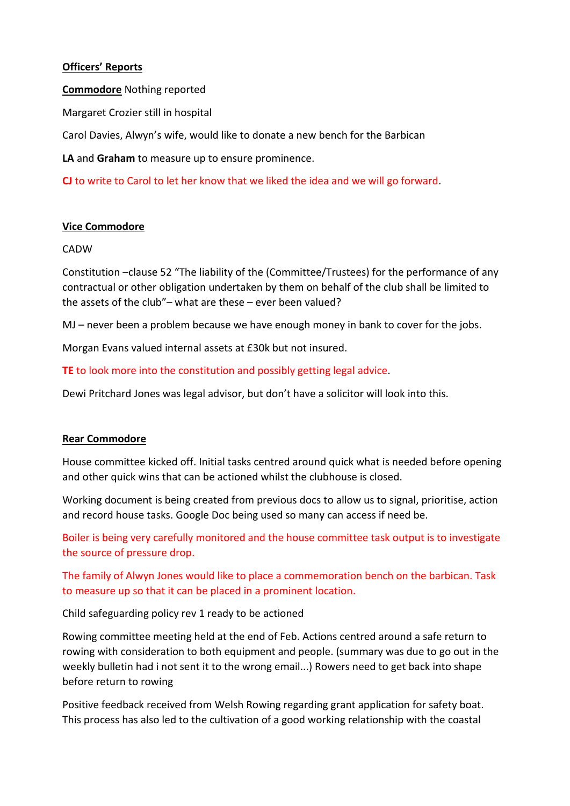# **Officers' Reports**

**Commodore** Nothing reported

Margaret Crozier still in hospital

Carol Davies, Alwyn's wife, would like to donate a new bench for the Barbican

**LA** and **Graham** to measure up to ensure prominence.

**CJ** to write to Carol to let her know that we liked the idea and we will go forward.

## **Vice Commodore**

### CADW

Constitution –clause 52 "The liability of the (Committee/Trustees) for the performance of any contractual or other obligation undertaken by them on behalf of the club shall be limited to the assets of the club"– what are these – ever been valued?

MJ – never been a problem because we have enough money in bank to cover for the jobs.

Morgan Evans valued internal assets at £30k but not insured.

**TE** to look more into the constitution and possibly getting legal advice.

Dewi Pritchard Jones was legal advisor, but don't have a solicitor will look into this.

# **Rear Commodore**

House committee kicked off. Initial tasks centred around quick what is needed before opening and other quick wins that can be actioned whilst the clubhouse is closed.

Working document is being created from previous docs to allow us to signal, prioritise, action and record house tasks. Google Doc being used so many can access if need be.

Boiler is being very carefully monitored and the house committee task output is to investigate the source of pressure drop.

The family of Alwyn Jones would like to place a commemoration bench on the barbican. Task to measure up so that it can be placed in a prominent location.

Child safeguarding policy rev 1 ready to be actioned

Rowing committee meeting held at the end of Feb. Actions centred around a safe return to rowing with consideration to both equipment and people. (summary was due to go out in the weekly bulletin had i not sent it to the wrong email...) Rowers need to get back into shape before return to rowing

Positive feedback received from Welsh Rowing regarding grant application for safety boat. This process has also led to the cultivation of a good working relationship with the coastal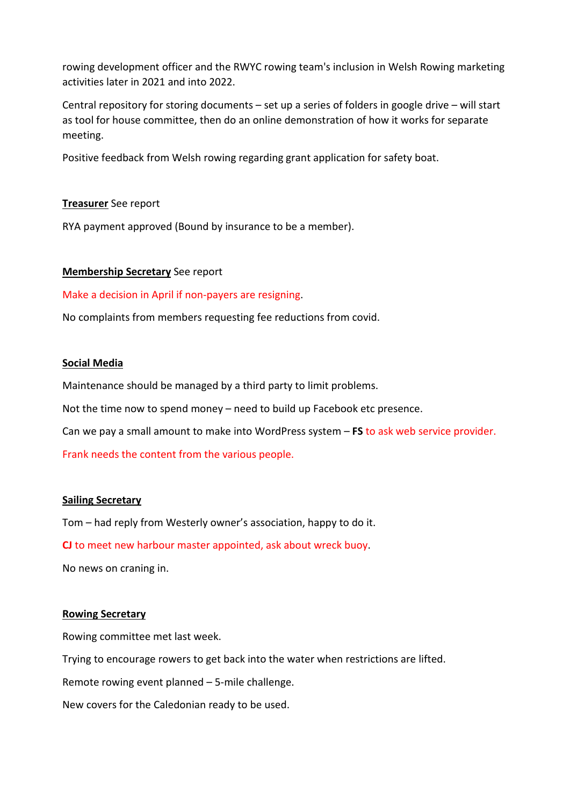rowing development officer and the RWYC rowing team's inclusion in Welsh Rowing marketing activities later in 2021 and into 2022.

Central repository for storing documents – set up a series of folders in google drive – will start as tool for house committee, then do an online demonstration of how it works for separate meeting.

Positive feedback from Welsh rowing regarding grant application for safety boat.

## **Treasurer** See report

RYA payment approved (Bound by insurance to be a member).

## **Membership Secretary** See report

Make a decision in April if non-payers are resigning.

No complaints from members requesting fee reductions from covid.

## **Social Media**

Maintenance should be managed by a third party to limit problems.

Not the time now to spend money – need to build up Facebook etc presence.

Can we pay a small amount to make into WordPress system – **FS** to ask web service provider.

Frank needs the content from the various people.

### **Sailing Secretary**

Tom – had reply from Westerly owner's association, happy to do it.

**CJ** to meet new harbour master appointed, ask about wreck buoy.

No news on craning in.

### **Rowing Secretary**

Rowing committee met last week.

Trying to encourage rowers to get back into the water when restrictions are lifted.

Remote rowing event planned – 5-mile challenge.

New covers for the Caledonian ready to be used.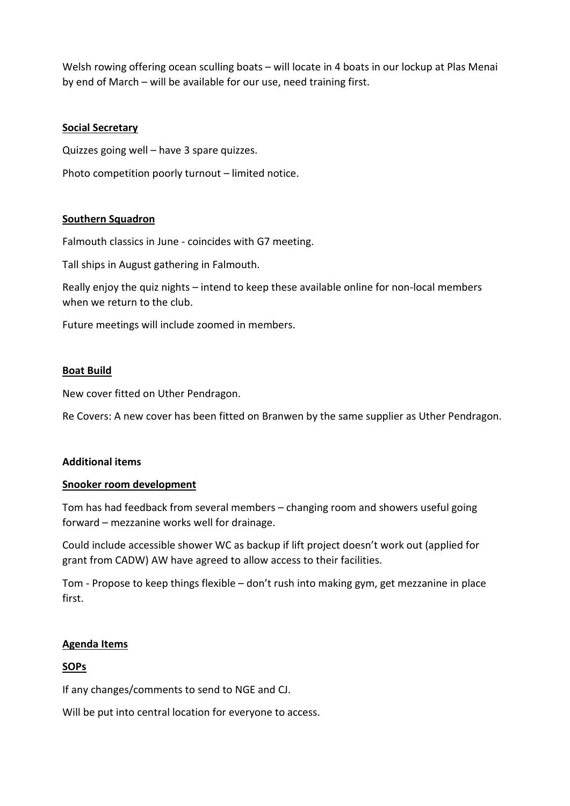Welsh rowing offering ocean sculling boats – will locate in 4 boats in our lockup at Plas Menai by end of March – will be available for our use, need training first.

## **Social Secretary**

Quizzes going well – have 3 spare quizzes.

Photo competition poorly turnout – limited notice.

## **Southern Squadron**

Falmouth classics in June - coincides with G7 meeting.

Tall ships in August gathering in Falmouth.

Really enjoy the quiz nights – intend to keep these available online for non-local members when we return to the club.

Future meetings will include zoomed in members.

### **Boat Build**

New cover fitted on Uther Pendragon.

Re Covers: A new cover has been fitted on Branwen by the same supplier as Uther Pendragon.

### **Additional items**

### **Snooker room development**

Tom has had feedback from several members – changing room and showers useful going forward – mezzanine works well for drainage.

Could include accessible shower WC as backup if lift project doesn't work out (applied for grant from CADW) AW have agreed to allow access to their facilities.

Tom - Propose to keep things flexible – don't rush into making gym, get mezzanine in place first.

### **Agenda Items**

## **SOPs**

If any changes/comments to send to NGE and CJ.

Will be put into central location for everyone to access.